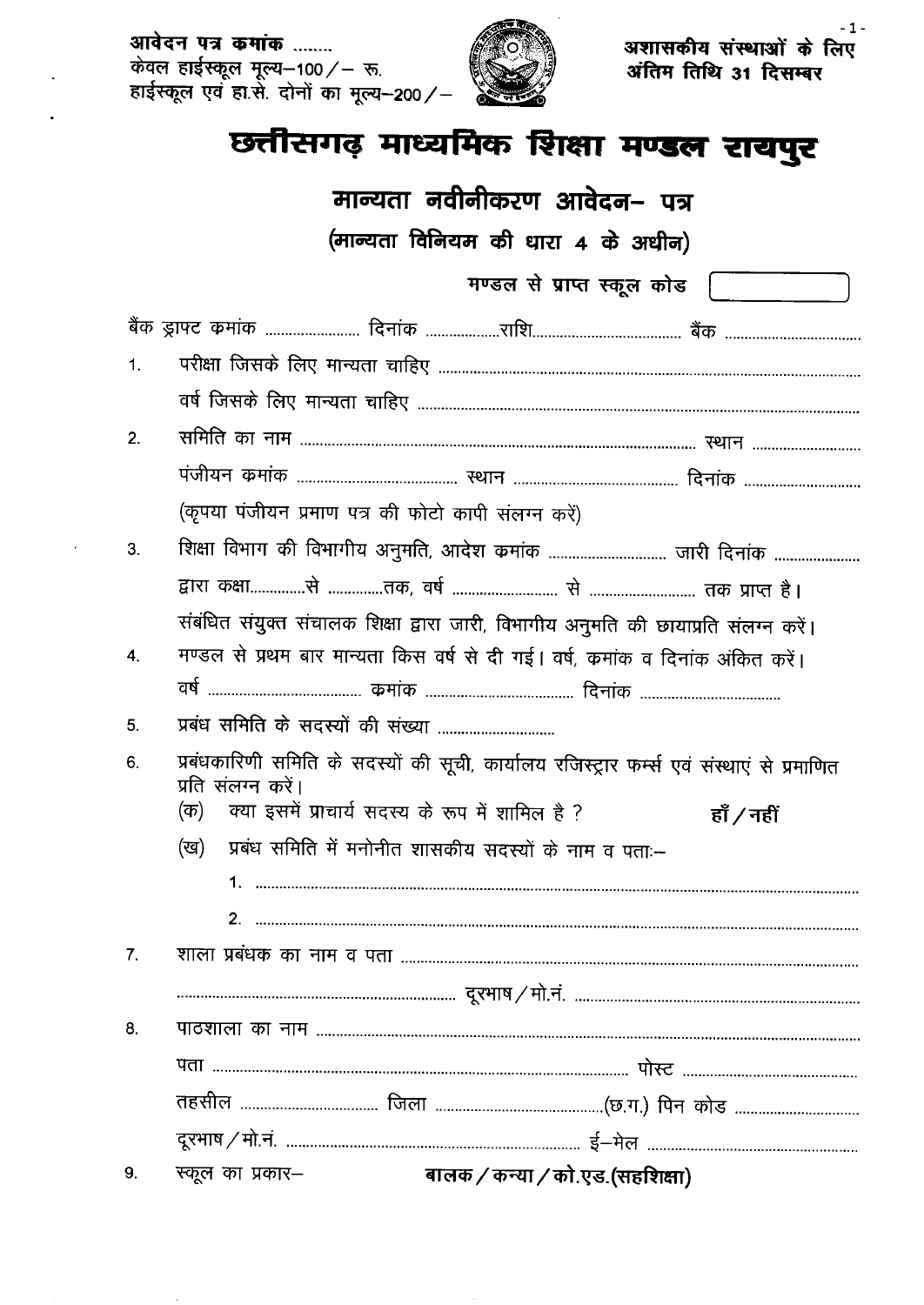आवेदन पत्र कमांक ........ 



अशासकीय संस्थाओं के लिए अंतिम तिथि 31 दिसम्बर

## छत्तीसगढ़ माध्यमिक शिक्षा मण्डल रायपुर

|                    | मान्यता नवीनीकरण आवेदन– पत्र                                                                                                                                                              |  |  |  |  |  |  |
|--------------------|-------------------------------------------------------------------------------------------------------------------------------------------------------------------------------------------|--|--|--|--|--|--|
|                    | (मान्यता विनियम की धारा 4 के अधीन)                                                                                                                                                        |  |  |  |  |  |  |
|                    | मण्डल से प्राप्त स्कूल कोड                                                                                                                                                                |  |  |  |  |  |  |
|                    |                                                                                                                                                                                           |  |  |  |  |  |  |
| 1.                 |                                                                                                                                                                                           |  |  |  |  |  |  |
|                    |                                                                                                                                                                                           |  |  |  |  |  |  |
| 2.                 |                                                                                                                                                                                           |  |  |  |  |  |  |
|                    |                                                                                                                                                                                           |  |  |  |  |  |  |
|                    | (कृपया पंजीयन प्रमाण पत्र की फोटो कापी संलग्न करें)                                                                                                                                       |  |  |  |  |  |  |
| 3.                 | शिक्षा विभाग की विभागीय अनुमति, आदेश कमांक  जारी दिनांक                                                                                                                                   |  |  |  |  |  |  |
|                    |                                                                                                                                                                                           |  |  |  |  |  |  |
| $\boldsymbol{4}$ . | संबंधित संयुक्त संचालक शिक्षा द्वारा जारी, विभागीय अनुमति की छायाप्रति संलग्न करें।<br>मण्डल से प्रथम बार मान्यता किस वर्ष से दी गई। वर्ष, कमांक व दिनांक अंकित करें।                     |  |  |  |  |  |  |
| 5.                 | प्रबंध समिति के सदस्यों की संख्या                                                                                                                                                         |  |  |  |  |  |  |
| 6.                 | प्रबंधकारिणी समिति के सदस्यों की सूची, कार्यालय रजिस्ट्रार फर्म्स एवं संस्थाएं से प्रमाणित<br>प्रति संलग्न करें।<br>क्या इसमें प्राचार्य सदस्य के रूप में शामिल है ?<br>(क)<br>हाँ / नहीं |  |  |  |  |  |  |
|                    | प्रबंध समिति में मनोनीत शासकीय सदस्यों के नाम व पताः—<br>(ख)                                                                                                                              |  |  |  |  |  |  |
|                    |                                                                                                                                                                                           |  |  |  |  |  |  |
|                    |                                                                                                                                                                                           |  |  |  |  |  |  |
| 7 <sub>1</sub>     |                                                                                                                                                                                           |  |  |  |  |  |  |
|                    |                                                                                                                                                                                           |  |  |  |  |  |  |
| 8.                 |                                                                                                                                                                                           |  |  |  |  |  |  |
|                    |                                                                                                                                                                                           |  |  |  |  |  |  |
|                    |                                                                                                                                                                                           |  |  |  |  |  |  |
|                    |                                                                                                                                                                                           |  |  |  |  |  |  |
| 9.                 | स्कूल का प्रकार-<br>बालक / कन्या / को.एड.(सहशिक्षा)                                                                                                                                       |  |  |  |  |  |  |

 $-1-$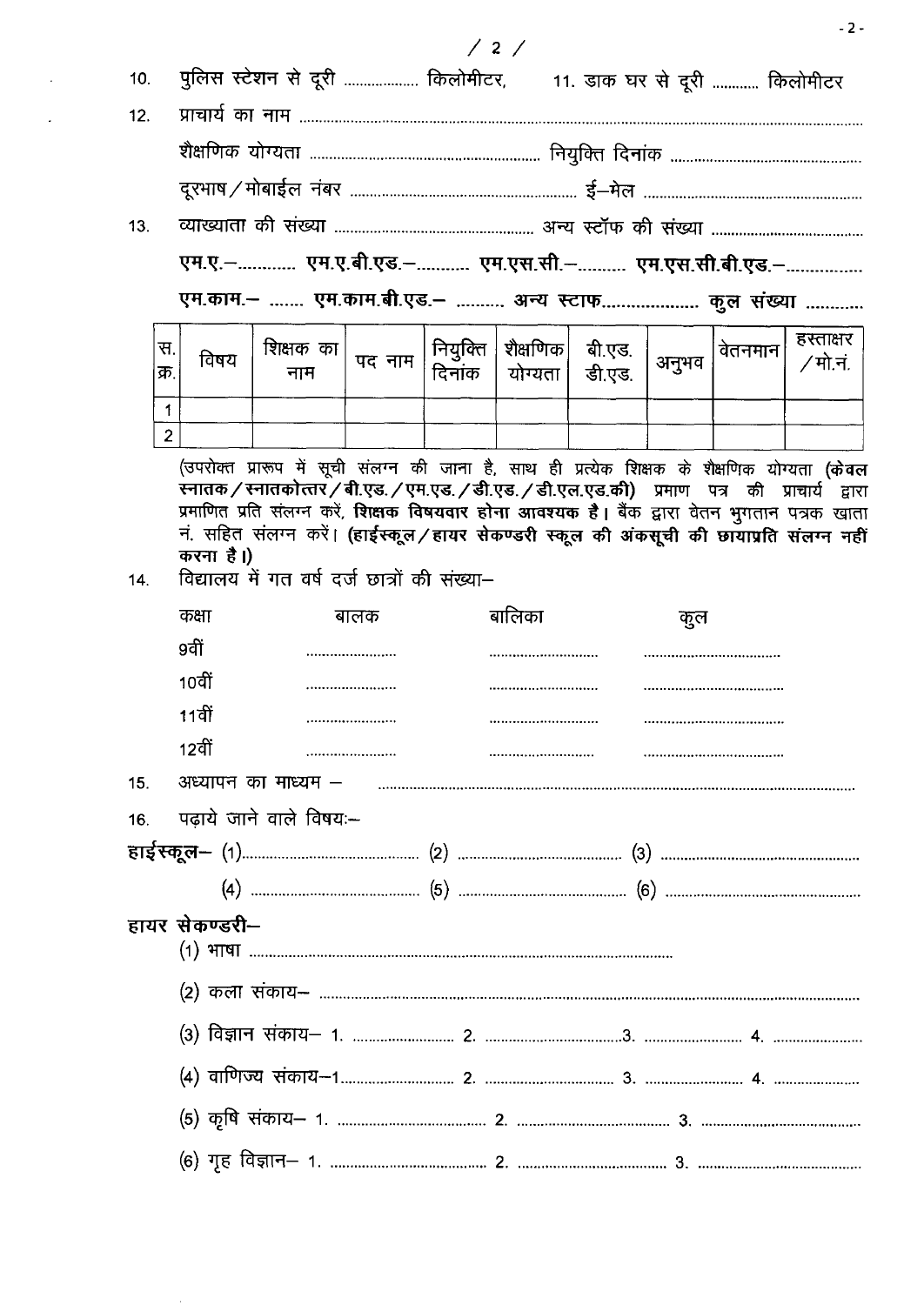| 10. |                |                | पुलिस स्टेशन से दूरी  किलोमीटर, 11. डाक घर से दूरी  किलोमीटर                                                                                                                                                                                                                                                                                                                                                                                       |        |                    |                        |                  |       |         |                       |
|-----|----------------|----------------|----------------------------------------------------------------------------------------------------------------------------------------------------------------------------------------------------------------------------------------------------------------------------------------------------------------------------------------------------------------------------------------------------------------------------------------------------|--------|--------------------|------------------------|------------------|-------|---------|-----------------------|
| 12. |                |                |                                                                                                                                                                                                                                                                                                                                                                                                                                                    |        |                    |                        |                  |       |         |                       |
|     |                |                |                                                                                                                                                                                                                                                                                                                                                                                                                                                    |        |                    |                        |                  |       |         |                       |
|     |                |                |                                                                                                                                                                                                                                                                                                                                                                                                                                                    |        |                    |                        |                  |       |         |                       |
| 13. |                |                |                                                                                                                                                                                                                                                                                                                                                                                                                                                    |        |                    |                        |                  |       |         |                       |
|     |                |                | एम.ए.- एम.ए.बी.एड.- एम.एस.सी.- एम.एस.सी.बी.एड.-                                                                                                                                                                                                                                                                                                                                                                                                    |        |                    |                        |                  |       |         |                       |
|     |                |                | एम.काम.–  एम.काम.बी.एड.–  अन्य स्टाफ कुल संख्या                                                                                                                                                                                                                                                                                                                                                                                                    |        |                    |                        |                  |       |         |                       |
|     | स.<br>क्र.     | विषय           | शिक्षक का<br>नाम                                                                                                                                                                                                                                                                                                                                                                                                                                   | पद नाम | नियुक्ति<br>दिनांक | शैक्षणिक <br>योग्यता । | बी.एड.<br>डी.एड. | अनुभव | वेतनमान | हस्ताक्षर<br>∕ मो.नं. |
|     | 1              |                |                                                                                                                                                                                                                                                                                                                                                                                                                                                    |        |                    |                        |                  |       |         |                       |
|     | $\overline{2}$ |                |                                                                                                                                                                                                                                                                                                                                                                                                                                                    |        |                    |                        |                  |       |         |                       |
| 14. |                | करना है।)      | (उपरोक्त प्रारूप में सूची संलग्न की जाना है, साथ ही प्रत्येक शिक्षक के शैक्षणिक योग्यता (केवल<br>स्नातक / स्नातकोत्तर / बी.एड. / एम.एड. / डी.एड. / डी.एल.एड.की) प्रमाण पत्र की प्राचार्य द्वारा<br>प्रमाणित प्रति संलग्न करें, <b>शिक्षक विषयवार होना आवश्यक है।</b> बैंक द्वारा वेतन भुगतान पत्रक खाता<br>नं. सहित संलग्न करें। (हाईस्कूल/हायर सेकण्डरी स्कूल की अंकसूची की छायाप्रति संलग्न नहीं<br>विद्यालय में गत वर्ष दर्ज छात्रों की संख्या– |        |                    |                        |                  |       |         |                       |
|     |                | कक्षा          |                                                                                                                                                                                                                                                                                                                                                                                                                                                    | बालक   |                    | बालिका                 |                  | कूल   |         |                       |
|     |                | 9वीं           |                                                                                                                                                                                                                                                                                                                                                                                                                                                    |        |                    |                        |                  |       |         |                       |
|     |                | 10वीं          |                                                                                                                                                                                                                                                                                                                                                                                                                                                    |        |                    |                        |                  |       |         |                       |
|     |                | 11वीं          |                                                                                                                                                                                                                                                                                                                                                                                                                                                    |        |                    |                        |                  |       |         |                       |
|     |                | 12वीं          |                                                                                                                                                                                                                                                                                                                                                                                                                                                    |        |                    |                        |                  |       |         |                       |
| 15. |                |                |                                                                                                                                                                                                                                                                                                                                                                                                                                                    |        |                    |                        |                  |       |         |                       |
| 16. |                |                | पढ़ाये जाने वाले विषयः-                                                                                                                                                                                                                                                                                                                                                                                                                            |        |                    |                        |                  |       |         |                       |
|     |                |                |                                                                                                                                                                                                                                                                                                                                                                                                                                                    |        |                    |                        |                  |       |         |                       |
|     |                |                |                                                                                                                                                                                                                                                                                                                                                                                                                                                    |        |                    |                        |                  |       |         |                       |
|     |                | हायर सेकण्डरी– |                                                                                                                                                                                                                                                                                                                                                                                                                                                    |        |                    |                        |                  |       |         |                       |
|     |                |                |                                                                                                                                                                                                                                                                                                                                                                                                                                                    |        |                    |                        |                  |       |         |                       |
|     |                |                |                                                                                                                                                                                                                                                                                                                                                                                                                                                    |        |                    |                        |                  |       |         |                       |
|     |                |                |                                                                                                                                                                                                                                                                                                                                                                                                                                                    |        |                    |                        |                  |       |         |                       |
|     |                |                |                                                                                                                                                                                                                                                                                                                                                                                                                                                    |        |                    |                        |                  |       |         |                       |
|     |                |                |                                                                                                                                                                                                                                                                                                                                                                                                                                                    |        |                    |                        |                  |       |         |                       |

 $-2-$ 

## $/2/$

 $\mathcal{A}^{\text{max}}_{\text{max}}$  and  $\mathcal{A}^{\text{max}}_{\text{max}}$ 

 $\mathcal{L}^{(1)}$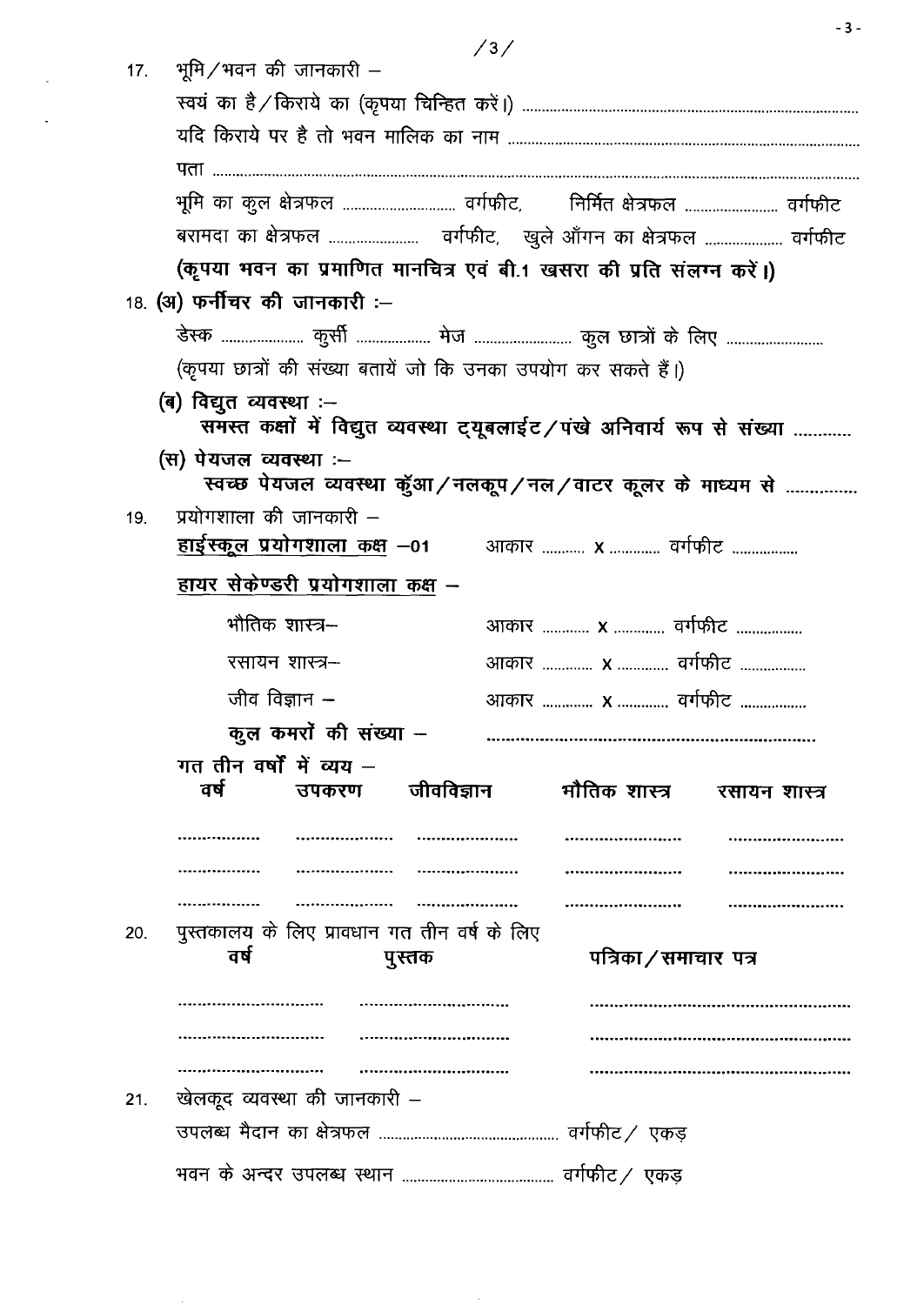$/3/$ 

 $\sim 0.1$ 

|     | 17. भूमि / भवन की जानकारी –                                    |        | $\sqrt{27}$ |                                                                         |               |  |  |
|-----|----------------------------------------------------------------|--------|-------------|-------------------------------------------------------------------------|---------------|--|--|
|     |                                                                |        |             |                                                                         |               |  |  |
|     |                                                                |        |             |                                                                         |               |  |  |
|     |                                                                |        |             |                                                                         |               |  |  |
|     |                                                                |        |             | भूमि का कुल क्षेत्रफल  वर्गफीट,     निर्मित क्षेत्रफल  वर्गफीट          |               |  |  |
|     |                                                                |        |             |                                                                         |               |  |  |
|     |                                                                |        |             | (कृपया भवन का प्रमाणित मानचित्र एवं बी.1 खसरा की प्रति संलग्न करें।)    |               |  |  |
|     | 18. (अ) फर्नीचर की जानकारी :—                                  |        |             |                                                                         |               |  |  |
|     |                                                                |        |             |                                                                         |               |  |  |
|     | (कृपया छात्रों की संख्या बतायें जो कि उनका उपयोग कर सकते हैं।) |        |             |                                                                         |               |  |  |
|     | (ब) विद्युत व्यवस्था :--                                       |        |             |                                                                         |               |  |  |
|     |                                                                |        |             | समस्त कक्षों में विद्युत व्यवस्था ट्यूबलाईट/पंखे अनिवार्य रूप से संख्या |               |  |  |
|     | (स) पेयजल व्यवस्था :--                                         |        |             | स्वच्छ पेयजल व्यवस्था कुॅआ/नलकूप/नल/वाटर कूलर के माध्यम से              |               |  |  |
| 19. | प्रयोगशाला की जानकारी –                                        |        |             |                                                                         |               |  |  |
|     | हाईस्कूल प्रयोगशाला कक्ष –01 व्याकार  x  वर्गफीट               |        |             |                                                                         |               |  |  |
|     | <u>हायर सेकेण्डरी प्रयोगशाला कक्ष –</u>                        |        |             |                                                                         |               |  |  |
|     | भौतिक शास्त्र–                                                 |        |             | आकार  x  वर्गफीट                                                        |               |  |  |
|     | रसायन शास्त्र–                                                 |        |             | आकार <b>x</b> वर्गफीट                                                   |               |  |  |
|     | जीव विज्ञान $-$                                                |        |             | आकार <b>x</b> वर्गफीट                                                   |               |  |  |
|     | कुल कमरों की संख्या –                                          |        |             |                                                                         |               |  |  |
|     | गत तीन वर्षों में व्यय $-$                                     |        |             |                                                                         |               |  |  |
|     | वर्ष<br>उपकरण                                                  |        | जीवविज्ञान  | मौतिक शास्त्र                                                           | रसायन शास्त्र |  |  |
|     |                                                                |        |             |                                                                         |               |  |  |
|     |                                                                |        |             |                                                                         |               |  |  |
|     |                                                                |        |             |                                                                         |               |  |  |
| 20. | पुस्तकालय के लिए प्रावधान गत तीन वर्ष के लिए                   |        |             |                                                                         |               |  |  |
|     | वर्ष                                                           | पुस्तक |             | पत्रिका / समाचार  पत्र                                                  |               |  |  |
|     |                                                                |        |             |                                                                         |               |  |  |
|     |                                                                |        |             |                                                                         |               |  |  |
|     |                                                                |        |             |                                                                         |               |  |  |
| 21. | खेलकूद व्यवस्था की जानकारी –                                   |        |             |                                                                         |               |  |  |
|     |                                                                |        |             |                                                                         |               |  |  |
|     |                                                                |        |             |                                                                         |               |  |  |

 $-3-$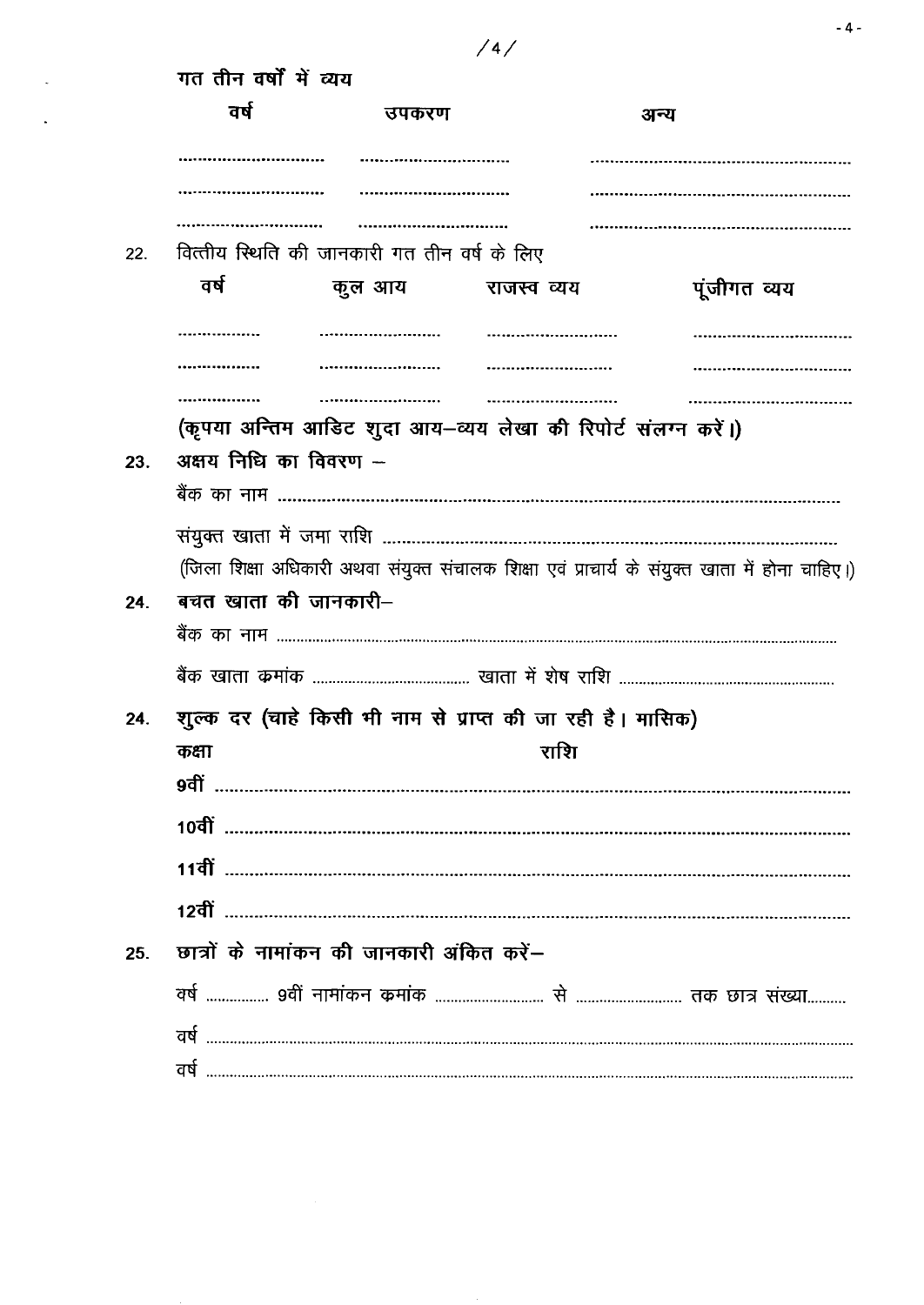|     | गत तीन वर्षों में व्यय |                                              |                                                               |                                                                                                |  |  |  |
|-----|------------------------|----------------------------------------------|---------------------------------------------------------------|------------------------------------------------------------------------------------------------|--|--|--|
|     | वर्ष                   | उपकरण                                        |                                                               | अन्य                                                                                           |  |  |  |
|     |                        |                                              |                                                               |                                                                                                |  |  |  |
|     |                        |                                              |                                                               |                                                                                                |  |  |  |
| 22. |                        | वित्तीय स्थिति की जानकारी गत तीन वर्ष के लिए |                                                               |                                                                                                |  |  |  |
|     | वर्ष                   | कुल आय                                       | राजस्व व्यय                                                   | पूंजीगत व्यय                                                                                   |  |  |  |
|     |                        |                                              |                                                               |                                                                                                |  |  |  |
|     |                        |                                              |                                                               |                                                                                                |  |  |  |
|     |                        |                                              |                                                               |                                                                                                |  |  |  |
|     | अक्षय निधि का विवरण -- |                                              | (कृपया अन्तिम आडिट शुदा आय–व्यय लेखा की रिपोर्ट संलग्न करें।) |                                                                                                |  |  |  |
| 23. |                        |                                              |                                                               |                                                                                                |  |  |  |
|     |                        |                                              |                                                               |                                                                                                |  |  |  |
|     |                        |                                              |                                                               | (जिला शिक्षा अधिकारी अथवा संयुक्त संचालक शिक्षा एवं प्राचार्य के संयुक्त खाता में होना चाहिए।) |  |  |  |
| 24. | बचत खाता की जानकारी–   |                                              |                                                               |                                                                                                |  |  |  |
|     |                        |                                              |                                                               |                                                                                                |  |  |  |
|     |                        |                                              |                                                               |                                                                                                |  |  |  |
|     |                        |                                              | शुल्क दर (चाहे किसी भी नाम से प्राप्त की जा रही है। मासिक)    |                                                                                                |  |  |  |
|     | कक्षा                  |                                              | राशि                                                          |                                                                                                |  |  |  |
|     | 9वीं                   |                                              |                                                               |                                                                                                |  |  |  |
|     |                        |                                              |                                                               |                                                                                                |  |  |  |
|     |                        |                                              |                                                               |                                                                                                |  |  |  |
|     |                        |                                              |                                                               |                                                                                                |  |  |  |
| 25. |                        | छात्रों के नामांकन की जानकारी अंकित करें–    |                                                               |                                                                                                |  |  |  |
|     |                        |                                              |                                                               |                                                                                                |  |  |  |
|     |                        |                                              |                                                               |                                                                                                |  |  |  |
|     |                        |                                              |                                                               |                                                                                                |  |  |  |